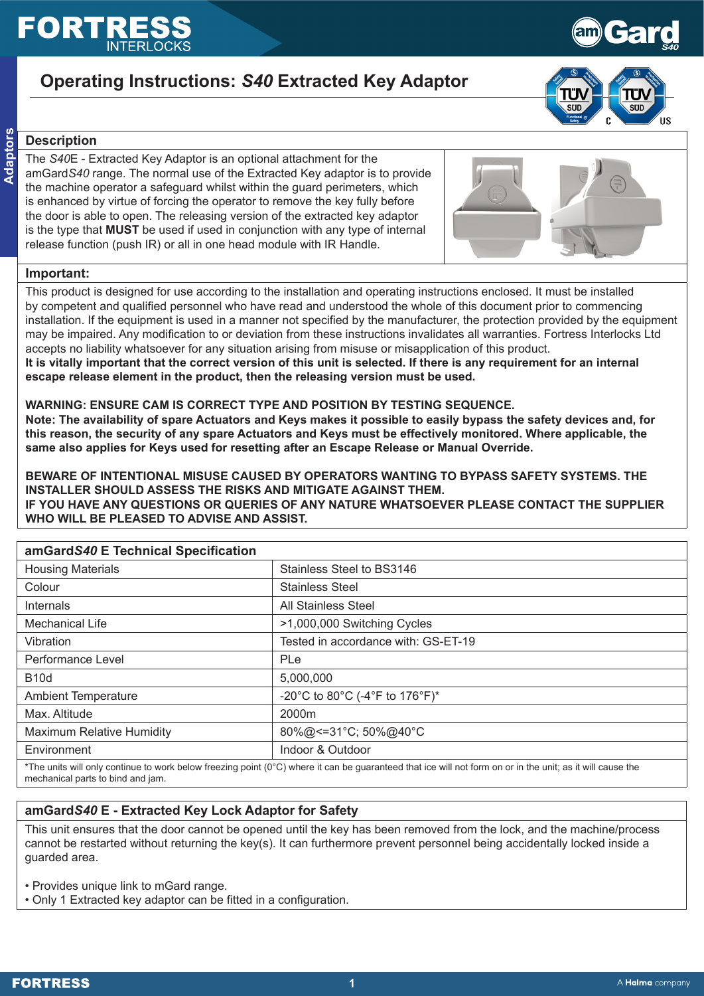# EORT

# **Operating Instructions:** *S40* **Extracted Key Adaptor**



**Gard** 

*S40*

# **Description**

**Adaptors**

The *S40*E - Extracted Key Adaptor is an optional attachment for the amGard*S40* range. The normal use of the Extracted Key adaptor is to provide the machine operator a safeguard whilst within the guard perimeters, which is enhanced by virtue of forcing the operator to remove the key fully before the door is able to open. The releasing version of the extracted key adaptor is the type that **MUST** be used if used in conjunction with any type of internal release function (push IR) or all in one head module with IR Handle.



### **Important:**

This product is designed for use according to the installation and operating instructions enclosed. It must be installed by competent and qualified personnel who have read and understood the whole of this document prior to commencing installation. If the equipment is used in a manner not specified by the manufacturer, the protection provided by the equipment may be impaired. Any modification to or deviation from these instructions invalidates all warranties. Fortress Interlocks Ltd accepts no liability whatsoever for any situation arising from misuse or misapplication of this product.

**It is vitally important that the correct version of this unit is selected. If there is any requirement for an internal escape release element in the product, then the releasing version must be used.**

#### **WARNING: ENSURE CAM IS CORRECT TYPE AND POSITION BY TESTING SEQUENCE.**

**Note: The availability of spare Actuators and Keys makes it possible to easily bypass the safety devices and, for this reason, the security of any spare Actuators and Keys must be effectively monitored. Where applicable, the same also applies for Keys used for resetting after an Escape Release or Manual Override.**

**BEWARE OF INTENTIONAL MISUSE CAUSED BY OPERATORS WANTING TO BYPASS SAFETY SYSTEMS. THE INSTALLER SHOULD ASSESS THE RISKS AND MITIGATE AGAINST THEM. IF YOU HAVE ANY QUESTIONS OR QUERIES OF ANY NATURE WHATSOEVER PLEASE CONTACT THE SUPPLIER WHO WILL BE PLEASED TO ADVISE AND ASSIST.**

| amGardS40 E Technical Specification                                                                                                                        |                                     |  |
|------------------------------------------------------------------------------------------------------------------------------------------------------------|-------------------------------------|--|
| <b>Housing Materials</b>                                                                                                                                   | Stainless Steel to BS3146           |  |
| Colour                                                                                                                                                     | <b>Stainless Steel</b>              |  |
| Internals                                                                                                                                                  | <b>All Stainless Steel</b>          |  |
| <b>Mechanical Life</b>                                                                                                                                     | >1,000,000 Switching Cycles         |  |
| Vibration                                                                                                                                                  | Tested in accordance with: GS-ET-19 |  |
| Performance Level                                                                                                                                          | <b>PLe</b>                          |  |
| <b>B10d</b>                                                                                                                                                | 5,000,000                           |  |
| <b>Ambient Temperature</b>                                                                                                                                 | -20°C to 80°C (-4°F to 176°F)*      |  |
| Max. Altitude                                                                                                                                              | 2000m                               |  |
| <b>Maximum Relative Humidity</b>                                                                                                                           | 80%@<=31°C; 50%@40°C                |  |
| Environment                                                                                                                                                | Indoor & Outdoor                    |  |
| *The units will only continue to work helow freezing point (0°C) where it can be quaranteed that ice will not form on or in the unit; as it will cause the |                                     |  |

\*The units will only continue to work below freezing point (0°C) where it can be guaranteed that ice will not form on or in the unit; as it will cause the mechanical parts to bind and jam.

## **amGard***S40* **E - Extracted Key Lock Adaptor for Safety**

This unit ensures that the door cannot be opened until the key has been removed from the lock, and the machine/process cannot be restarted without returning the key(s). It can furthermore prevent personnel being accidentally locked inside a guarded area.

• Provides unique link to mGard range.

• Only 1 Extracted key adaptor can be fitted in a configuration.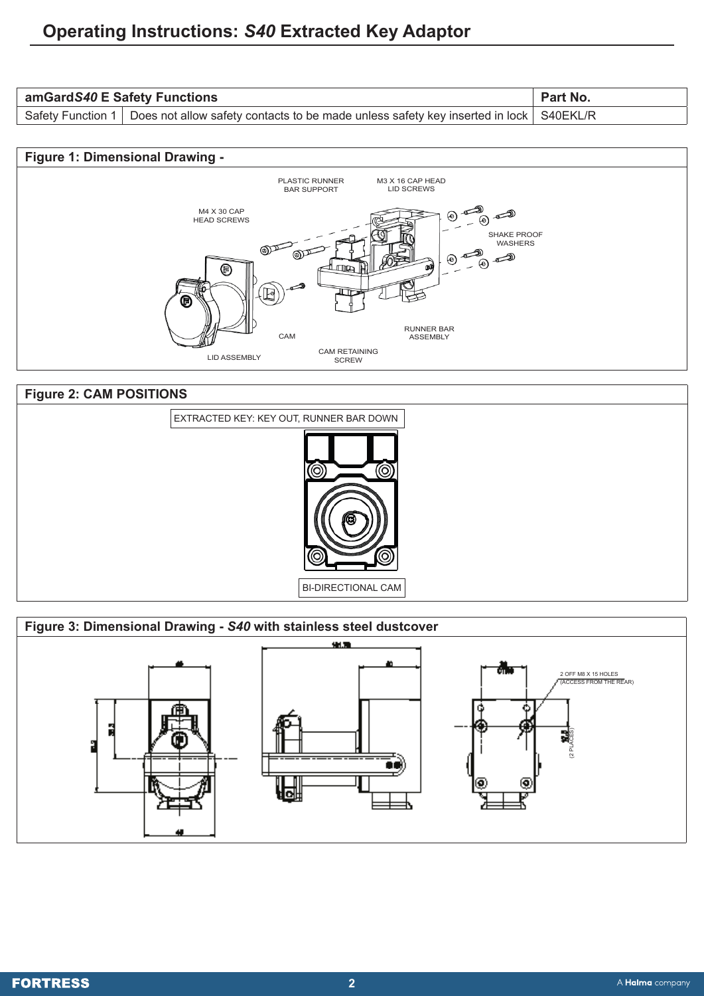| amGardS40 E Safety Functions |                                                                                                             | <b>Part No.</b> |
|------------------------------|-------------------------------------------------------------------------------------------------------------|-----------------|
|                              | Safety Function 1   Does not allow safety contacts to be made unless safety key inserted in lock   S40EKL/R |                 |





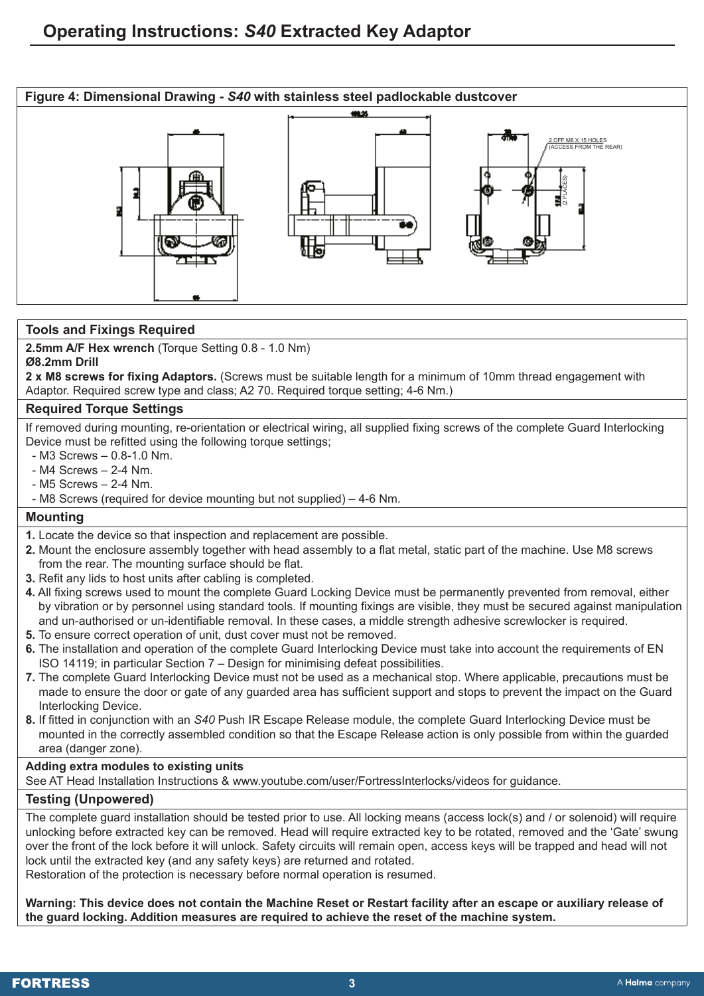

#### **Tools and Fixings Required**

**2.5mm A/F Hex wrench** (Torque Setting 0.8 - 1.0 Nm)

**Ø8.2mm Drill 2 x M8 screws for fixing Adaptors.** (Screws must be suitable length for a minimum of 10mm thread engagement with Adaptor. Required screw type and class; A2 70. Required torque setting; 4-6 Nm.)

#### **Required Torque Settings**

If removed during mounting, re-orientation or electrical wiring, all supplied fixing screws of the complete Guard Interlocking Device must be refitted using the following torque settings;

- M3 Screws 0.8-1.0 Nm.
- M4 Screws 2-4 Nm.
- M5 Screws 2-4 Nm.
- M8 Screws (required for device mounting but not supplied) 4-6 Nm.

#### **Mounting**

- **1.** Locate the device so that inspection and replacement are possible.
- **2.** Mount the enclosure assembly together with head assembly to a flat metal, static part of the machine. Use M8 screws from the rear. The mounting surface should be flat.
- **3.** Refit any lids to host units after cabling is completed.
- **4.** All fixing screws used to mount the complete Guard Locking Device must be permanently prevented from removal, either by vibration or by personnel using standard tools. If mounting fixings are visible, they must be secured against manipulation and un-authorised or un-identifiable removal. In these cases, a middle strength adhesive screwlocker is required.
- **5.** To ensure correct operation of unit, dust cover must not be removed.
- **6.** The installation and operation of the complete Guard Interlocking Device must take into account the requirements of EN ISO 14119; in particular Section 7 – Design for minimising defeat possibilities.
- **7.** The complete Guard Interlocking Device must not be used as a mechanical stop. Where applicable, precautions must be made to ensure the door or gate of any guarded area has sufficient support and stops to prevent the impact on the Guard Interlocking Device.
- **8.** If fitted in conjunction with an *S40* Push IR Escape Release module, the complete Guard Interlocking Device must be mounted in the correctly assembled condition so that the Escape Release action is only possible from within the guarded area (danger zone).

#### **Adding extra modules to existing units**

See AT Head Installation Instructions & www.youtube.com/user/FortressInterlocks/videos for guidance.

#### **Testing (Unpowered)**

The complete guard installation should be tested prior to use. All locking means (access lock(s) and / or solenoid) will require unlocking before extracted key can be removed. Head will require extracted key to be rotated, removed and the 'Gate' swung over the front of the lock before it will unlock. Safety circuits will remain open, access keys will be trapped and head will not lock until the extracted key (and any safety keys) are returned and rotated.

Restoration of the protection is necessary before normal operation is resumed.

**Warning: This device does not contain the Machine Reset or Restart facility after an escape or auxiliary release of the guard locking. Addition measures are required to achieve the reset of the machine system.**